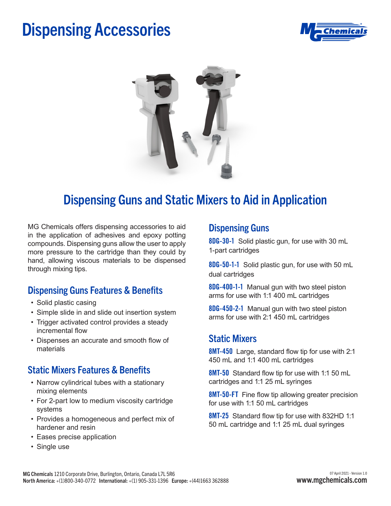## Dispensing Accessories





### Dispensing Guns and Static Mixers to Aid in Application

MG Chemicals offers dispensing accessories to aid in the application of adhesives and epoxy potting compounds. Dispensing guns allow the user to apply more pressure to the cartridge than they could by hand, allowing viscous materials to be dispensed through mixing tips.

### Dispensing Guns Features & Benefits

- Solid plastic casing
- Simple slide in and slide out insertion system
- Trigger activated control provides a steady incremental flow
- Dispenses an accurate and smooth flow of materials

#### Static Mixers Features & Benefits

- Narrow cylindrical tubes with a stationary mixing elements
- For 2-part low to medium viscosity cartridge systems
- Provides a homogeneous and perfect mix of hardener and resin
- Eases precise application
- Single use

#### Dispensing Guns

**8DG-30-1** Solid plastic gun, for use with 30 mL 1-part cartridges

**8DG-50-1-1** Solid plastic gun, for use with 50 mL dual cartridges

**8DG-400-1-1** Manual gun with two steel piston arms for use with 1:1 400 mL cartridges

**8DG-450-2-1** Manual gun with two steel piston arms for use with 2:1 450 mL cartridges

#### Static Mixers

**8MT-450** Large, standard flow tip for use with 2:1 450 mL and 1:1 400 mL cartridges

**8MT-50** Standard flow tip for use with 1:1 50 mL cartridges and 1:1 25 mL syringes

**8MT-50-FT** Fine flow tip allowing greater precision for use with 1:1 50 mL cartridges

**8MT-25** Standard flow tip for use with 832HD 1:1 50 mL cartridge and 1:1 25 mL dual syringes